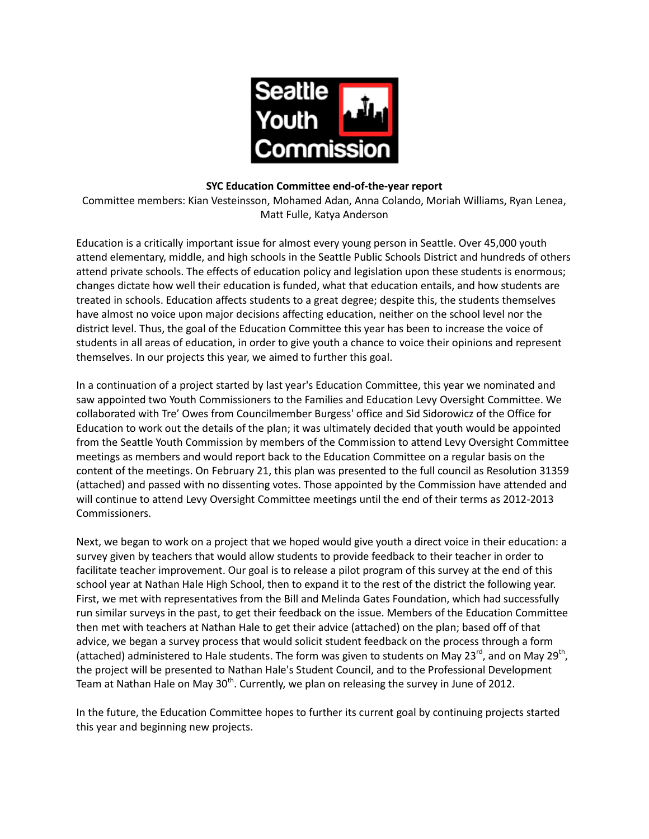

#### **SYC Education Committee end-of-the-year report**

Committee members: Kian Vesteinsson, Mohamed Adan, Anna Colando, Moriah Williams, Ryan Lenea, Matt Fulle, Katya Anderson

Education is a critically important issue for almost every young person in Seattle. Over 45,000 youth attend elementary, middle, and high schools in the Seattle Public Schools District and hundreds of others attend private schools. The effects of education policy and legislation upon these students is enormous; changes dictate how well their education is funded, what that education entails, and how students are treated in schools. Education affects students to a great degree; despite this, the students themselves have almost no voice upon major decisions affecting education, neither on the school level nor the district level. Thus, the goal of the Education Committee this year has been to increase the voice of students in all areas of education, in order to give youth a chance to voice their opinions and represent themselves. In our projects this year, we aimed to further this goal.

In a continuation of a project started by last year's Education Committee, this year we nominated and saw appointed two Youth Commissioners to the Families and Education Levy Oversight Committee. We collaborated with Tre' Owes from Councilmember Burgess' office and Sid Sidorowicz of the Office for Education to work out the details of the plan; it was ultimately decided that youth would be appointed from the Seattle Youth Commission by members of the Commission to attend Levy Oversight Committee meetings as members and would report back to the Education Committee on a regular basis on the content of the meetings. On February 21, this plan was presented to the full council as Resolution 31359 (attached) and passed with no dissenting votes. Those appointed by the Commission have attended and will continue to attend Levy Oversight Committee meetings until the end of their terms as 2012-2013 Commissioners.

Next, we began to work on a project that we hoped would give youth a direct voice in their education: a survey given by teachers that would allow students to provide feedback to their teacher in order to facilitate teacher improvement. Our goal is to release a pilot program of this survey at the end of this school year at Nathan Hale High School, then to expand it to the rest of the district the following year. First, we met with representatives from the Bill and Melinda Gates Foundation, which had successfully run similar surveys in the past, to get their feedback on the issue. Members of the Education Committee then met with teachers at Nathan Hale to get their advice (attached) on the plan; based off of that advice, we began a survey process that would solicit student feedback on the process through a form (attached) administered to Hale students. The form was given to students on May 23<sup>rd</sup>, and on May 29<sup>th</sup>, the project will be presented to Nathan Hale's Student Council, and to the Professional Development Team at Nathan Hale on May 30<sup>th</sup>. Currently, we plan on releasing the survey in June of 2012.

In the future, the Education Committee hopes to further its current goal by continuing projects started this year and beginning new projects.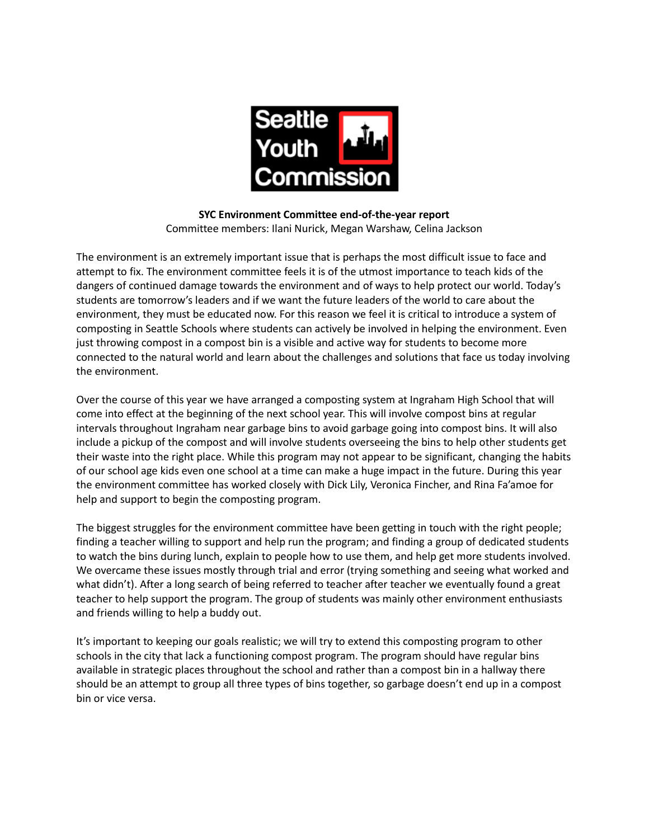

**SYC Environment Committee end-of-the-year report** Committee members: Ilani Nurick, Megan Warshaw, Celina Jackson

The environment is an extremely important issue that is perhaps the most difficult issue to face and attempt to fix. The environment committee feels it is of the utmost importance to teach kids of the dangers of continued damage towards the environment and of ways to help protect our world. Today's students are tomorrow's leaders and if we want the future leaders of the world to care about the environment, they must be educated now. For this reason we feel it is critical to introduce a system of composting in Seattle Schools where students can actively be involved in helping the environment. Even just throwing compost in a compost bin is a visible and active way for students to become more connected to the natural world and learn about the challenges and solutions that face us today involving the environment.

Over the course of this year we have arranged a composting system at Ingraham High School that will come into effect at the beginning of the next school year. This will involve compost bins at regular intervals throughout Ingraham near garbage bins to avoid garbage going into compost bins. It will also include a pickup of the compost and will involve students overseeing the bins to help other students get their waste into the right place. While this program may not appear to be significant, changing the habits of our school age kids even one school at a time can make a huge impact in the future. During this year the environment committee has worked closely with Dick Lily, Veronica Fincher, and Rina Fa'amoe for help and support to begin the composting program.

The biggest struggles for the environment committee have been getting in touch with the right people; finding a teacher willing to support and help run the program; and finding a group of dedicated students to watch the bins during lunch, explain to people how to use them, and help get more students involved. We overcame these issues mostly through trial and error (trying something and seeing what worked and what didn't). After a long search of being referred to teacher after teacher we eventually found a great teacher to help support the program. The group of students was mainly other environment enthusiasts and friends willing to help a buddy out.

It's important to keeping our goals realistic; we will try to extend this composting program to other schools in the city that lack a functioning compost program. The program should have regular bins available in strategic places throughout the school and rather than a compost bin in a hallway there should be an attempt to group all three types of bins together, so garbage doesn't end up in a compost bin or vice versa.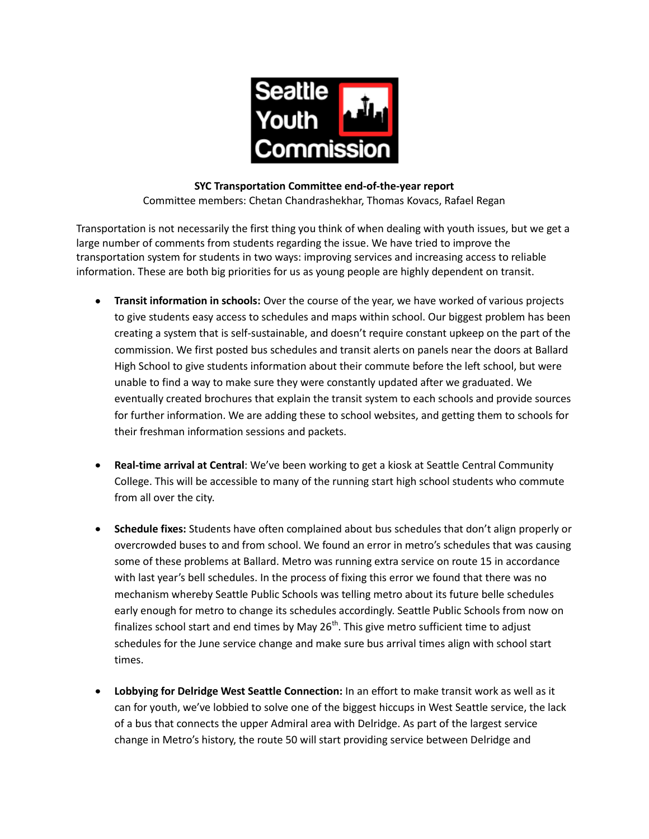

# **SYC Transportation Committee end-of-the-year report**

Committee members: Chetan Chandrashekhar, Thomas Kovacs, Rafael Regan

Transportation is not necessarily the first thing you think of when dealing with youth issues, but we get a large number of comments from students regarding the issue. We have tried to improve the transportation system for students in two ways: improving services and increasing access to reliable information. These are both big priorities for us as young people are highly dependent on transit.

- **Transit information in schools:** Over the course of the year, we have worked of various projects  $\bullet$ to give students easy access to schedules and maps within school. Our biggest problem has been creating a system that is self-sustainable, and doesn't require constant upkeep on the part of the commission. We first posted bus schedules and transit alerts on panels near the doors at Ballard High School to give students information about their commute before the left school, but were unable to find a way to make sure they were constantly updated after we graduated. We eventually created brochures that explain the transit system to each schools and provide sources for further information. We are adding these to school websites, and getting them to schools for their freshman information sessions and packets.
- **Real-time arrival at Central**: We've been working to get a kiosk at Seattle Central Community College. This will be accessible to many of the running start high school students who commute from all over the city.
- **Schedule fixes:** Students have often complained about bus schedules that don't align properly or overcrowded buses to and from school. We found an error in metro's schedules that was causing some of these problems at Ballard. Metro was running extra service on route 15 in accordance with last year's bell schedules. In the process of fixing this error we found that there was no mechanism whereby Seattle Public Schools was telling metro about its future belle schedules early enough for metro to change its schedules accordingly. Seattle Public Schools from now on finalizes school start and end times by May  $26<sup>th</sup>$ . This give metro sufficient time to adjust schedules for the June service change and make sure bus arrival times align with school start times.
- **Lobbying for Delridge West Seattle Connection:** In an effort to make transit work as well as it can for youth, we've lobbied to solve one of the biggest hiccups in West Seattle service, the lack of a bus that connects the upper Admiral area with Delridge. As part of the largest service change in Metro's history, the route 50 will start providing service between Delridge and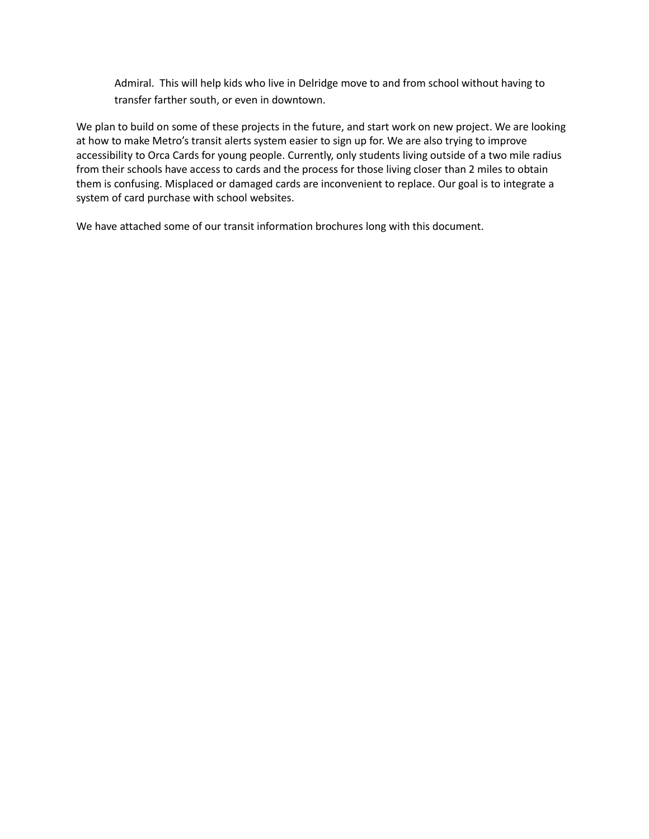Admiral. This will help kids who live in Delridge move to and from school without having to transfer farther south, or even in downtown.

We plan to build on some of these projects in the future, and start work on new project. We are looking at how to make Metro's transit alerts system easier to sign up for. We are also trying to improve accessibility to Orca Cards for young people. Currently, only students living outside of a two mile radius from their schools have access to cards and the process for those living closer than 2 miles to obtain them is confusing. Misplaced or damaged cards are inconvenient to replace. Our goal is to integrate a system of card purchase with school websites.

We have attached some of our transit information brochures long with this document.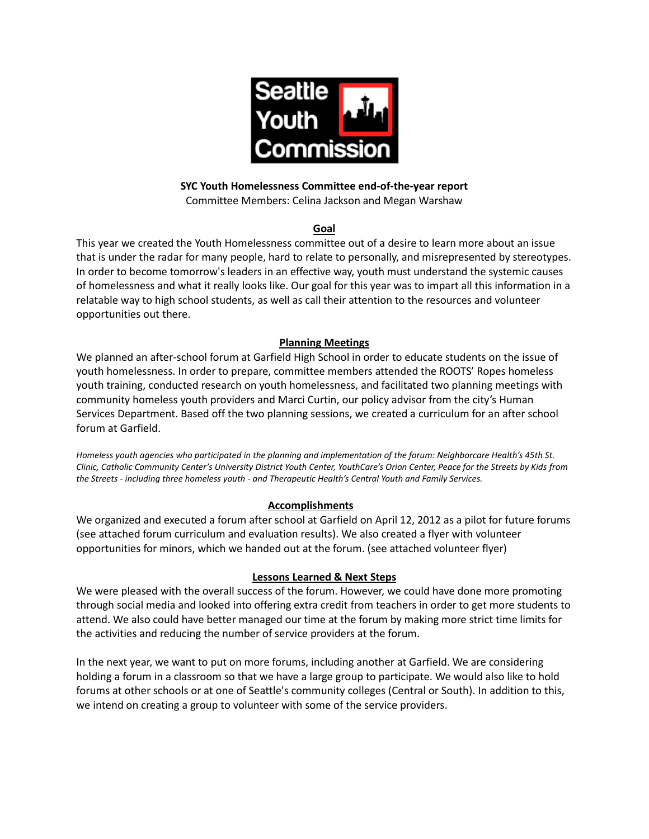

## **SYC Youth Homelessness Committee end-of-the-year report**

Committee Members: Celina Jackson and Megan Warshaw

### **Goal**

This year we created the Youth Homelessness committee out of a desire to learn more about an issue that is under the radar for many people, hard to relate to personally, and misrepresented by stereotypes. In order to become tomorrow's leaders in an effective way, youth must understand the systemic causes of homelessness and what it really looks like. Our goal for this year was to impart all this information in a relatable way to high school students, as well as call their attention to the resources and volunteer opportunities out there.

### **Planning Meetings**

We planned an after-school forum at Garfield High School in order to educate students on the issue of youth homelessness. In order to prepare, committee members attended the ROOTS' Ropes homeless youth training, conducted research on youth homelessness, and facilitated two planning meetings with community homeless youth providers and Marci Curtin, our policy advisor from the city's Human Services Department. Based off the two planning sessions, we created a curriculum for an after school forum at Garfield.

*Homeless youth agencies who participated in the planning and implementation of the forum: Neighborcare Health's 45th St. Clinic, Catholic Community Center's University District Youth Center, YouthCare's Orion Center, Peace for the Streets by Kids from the Streets - including three homeless youth - and Therapeutic Health's Central Youth and Family Services.*

#### **Accomplishments**

We organized and executed a forum after school at Garfield on April 12, 2012 as a pilot for future forums (see attached forum curriculum and evaluation results). We also created a flyer with volunteer opportunities for minors, which we handed out at the forum. (see attached volunteer flyer)

# **Lessons Learned & Next Steps**

We were pleased with the overall success of the forum. However, we could have done more promoting through social media and looked into offering extra credit from teachers in order to get more students to attend. We also could have better managed our time at the forum by making more strict time limits for the activities and reducing the number of service providers at the forum.

In the next year, we want to put on more forums, including another at Garfield. We are considering holding a forum in a classroom so that we have a large group to participate. We would also like to hold forums at other schools or at one of Seattle's community colleges (Central or South). In addition to this, we intend on creating a group to volunteer with some of the service providers.